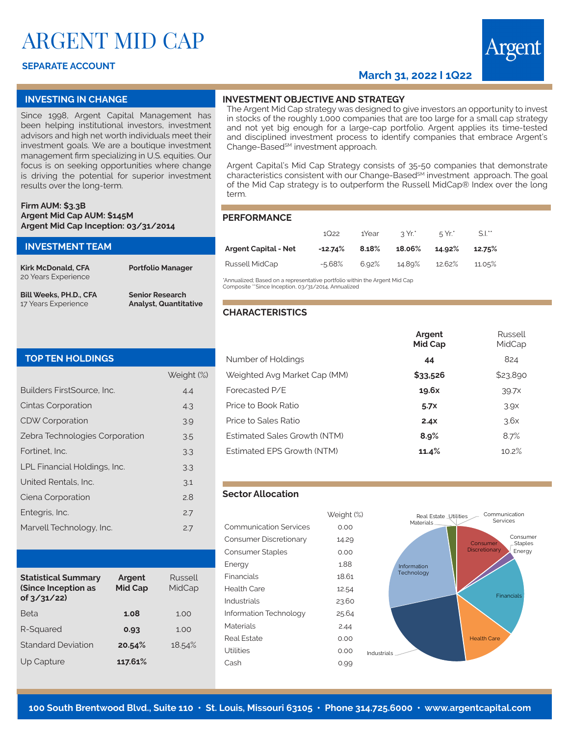# ARGENT MID CAP

## **SEPARATE ACCOUNT**

# **March 31, 2022 I 1Q22**



Russell

#### **INVESTING IN CHANGE**

Since 1998, Argent Capital Management has been helping institutional investors, investment advisors and high net worth individuals meet their investment goals. We are a boutique investment management firm specializing in U.S. equities. Our focus is on seeking opportunities where change is driving the potential for superior investment results over the long-term.

#### **Firm AUM: \$3.3B Argent Mid Cap AUM: \$145M Argent Mid Cap Inception: 03/31/2014**

| <b>INVESTMENT TEAM</b>        |                              | Arc         |
|-------------------------------|------------------------------|-------------|
| <b>Kirk McDonald, CFA</b>     | <b>Portfolio Manager</b>     | Ru:         |
| 20 Years Experience           |                              | *Ann<br>Com |
| <b>Bill Weeks, PH.D., CFA</b> | <b>Senior Research</b>       |             |
| 17 Years Experience           | <b>Analyst, Quantitative</b> |             |

## **INVESTMENT OBJECTIVE AND STRATEGY**

The Argent Mid Cap strategy was designed to give investors an opportunity to invest in stocks of the roughly 1,000 companies that are too large for a small cap strategy and not yet big enough for a large-cap portfolio. Argent applies its time-tested and disciplined investment process to identify companies that embrace Argent's Change-Based<sup>sM</sup> investment approach.

Argent Capital's Mid Cap Strategy consists of 35-50 companies that demonstrate characteristics consistent with our Change-Based<sup>SM</sup> investment approach. The goal of the Mid Cap strategy is to outperform the Russell MidCap® Index over the long term.

#### **PERFORMANCE**

|                             | 1Q22       | 1Year | ี่ ? Yr.* | $5Yr^*$ | $S.l.$ <sup>**</sup> |
|-----------------------------|------------|-------|-----------|---------|----------------------|
| <b>Argent Capital - Net</b> | $-12.74\%$ | 8.18% | 18.06%    | 14.92%  | 12.75%               |
| Russell MidCap              | $-5.68%$   | 6.92% | 14.89%    | 12.62%  | 11.05%               |

ualized; Based on a representative portfolio within the Argent Mid Cap posite \*\*Since Inception, 03/31/2014, Annualized

### **CHARACTERISTICS**

|  | <b>TOP TEN HOLDINGS</b> |  |  |
|--|-------------------------|--|--|
|  |                         |  |  |

|                                | Weight (%) |
|--------------------------------|------------|
| Builders FirstSource, Inc.     | 4.4        |
| Cintas Corporation             | 4.3        |
| <b>CDW Corporation</b>         | 3.9        |
| Zebra Technologies Corporation | 3.5        |
| Fortinet. Inc.                 | 3.3        |
| LPL Financial Holdings, Inc.   | 3.3        |
| United Rentals, Inc.           | 3.1        |
| Ciena Corporation              | 2.8        |
| Entegris, Inc.                 | 2.7        |
| Marvell Technology, Inc.       | 2.7        |
|                                |            |

| <b>Statistical Summary</b><br>(Since Inception as<br>of $3/31/22$ | Argent<br><b>Mid Cap</b> | Russell<br>MidCap |
|-------------------------------------------------------------------|--------------------------|-------------------|
| <b>Beta</b>                                                       | 1.08                     | 1.00              |
| R-Squared                                                         | 0.93                     | 1.00              |
| <b>Standard Deviation</b>                                         | 20.54%                   | 18.54%            |
| Up Capture                                                        | 117.61%                  |                   |

|                              | <b>Mid Cap</b> | MidCap           |
|------------------------------|----------------|------------------|
| Number of Holdings           | 44             | 824              |
| Weighted Avg Market Cap (MM) | \$33,526       | \$23,890         |
| Forecasted P/E               | 19.6x          | 39.7x            |
| Price to Book Ratio          | 5.7x           | 3.9 <sub>X</sub> |
| Price to Sales Ratio         | 2.4x           | 3.6x             |
| Estimated Sales Growth (NTM) | 8.9%           | 8.7%             |
| Estimated EPS Growth (NTM)   | 11.4%          | 10.2%            |

**Argent**

#### **Sector Allocation**

|                               | weight |
|-------------------------------|--------|
| <b>Communication Services</b> | 0.00   |
| Consumer Discretionary        | 14.29  |
| <b>Consumer Staples</b>       | 0.00   |
| Energy                        | 1.88   |
| Financials                    | 18.61  |
| Health Care                   | 12.54  |
| Industrials                   | 23.60  |
| Information Technology        | 25.64  |
| Materials                     | 2.44   |
| Real Estate                   | 0.00   |
| Utilities                     | 0.00   |
| Cash                          | 0.99   |